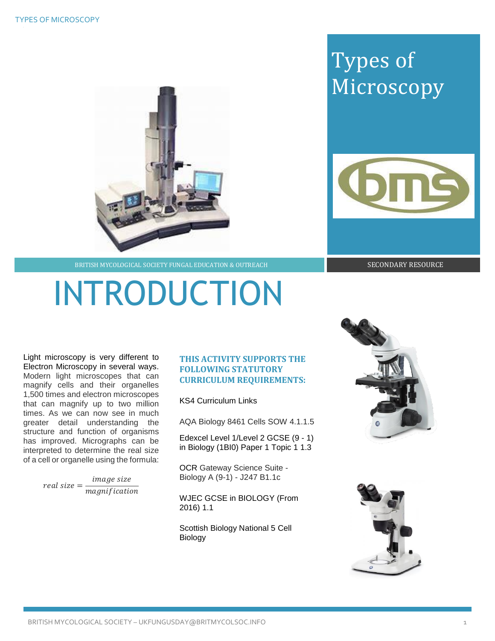## Types of Microscopy



BRITISH MYCOLOGICAL SOCIETY FUNGAL EDUCATION & OUTREACH SECONDARY RESOURCE

# INTRODUCTION

Light microscopy is very different to Electron Microscopy in several ways. Modern light microscopes that can magnify cells and their organelles 1,500 times and electron microscopes that can magnify up to two million times. As we can now see in much greater detail understanding the structure and function of organisms has improved. Micrographs can be interpreted to determine the real size of a cell or organelle using the formula:

> real size =  $\frac{image size}{\sqrt{1 + \frac{1}{2}}}$ magnification

### **THIS ACTIVITY SUPPORTS THE FOLLOWING STATUTORY CURRICULUM REQUIREMENTS:**

KS4 Curriculum Links

AQA Biology 8461 Cells SOW 4.1.1.5

Edexcel Level 1/Level 2 GCSE (9 - 1) in Biology (1BI0) Paper 1 Topic 1 1.3

OCR Gateway Science Suite - Biology A (9-1) - J247 B1.1c

WJEC GCSE in BIOLOGY (From 2016) 1.1

Scottish Biology National 5 Cell Biology